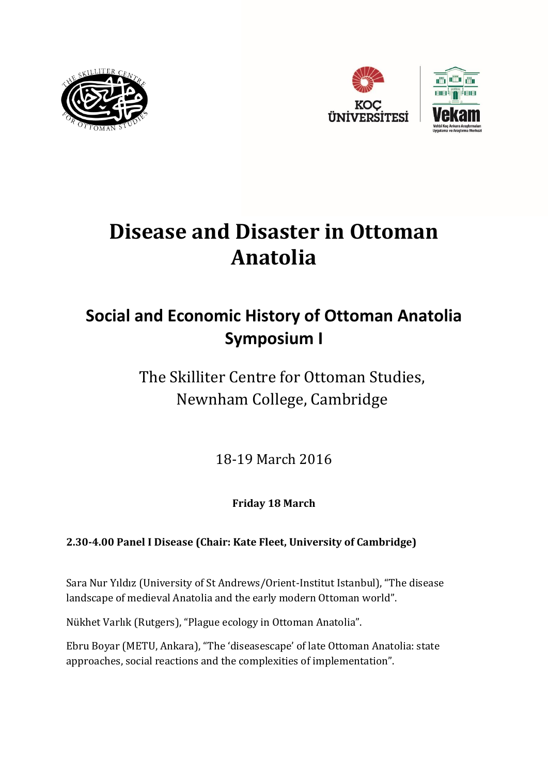





# **Disease and Disaster in Ottoman Anatolia**

## **Social and Economic History of Ottoman Anatolia Symposium I**

The Skilliter Centre for Ottoman Studies, Newnham College, Cambridge

18-19 March 2016

**Friday 18 March**

### **2.30-4.00 Panel I Disease (Chair: Kate Fleet, University of Cambridge)**

Sara Nur Yıldız (University of St Andrews/Orient-Institut Istanbul), "The disease landscape of medieval Anatolia and the early modern Ottoman world".

Nükhet Varlık (Rutgers), "Plague ecology in Ottoman Anatolia".

Ebru Boyar (METU, Ankara), "The 'diseasescape' of late Ottoman Anatolia: state approaches, social reactions and the complexities of implementation".